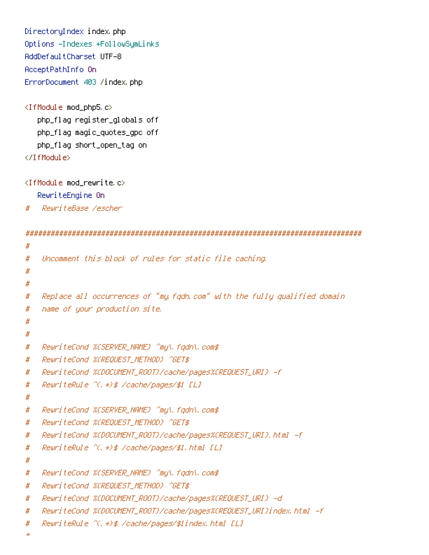DirectoryIndex index.php Options -Indexes +FollowSymLinks AddDefaultCharset UTF-8 AcceptPathInfo On ErrorDocument 403 /index.php

```
<IfModule mod_php5.c>
   php_flag register_globals off
   php_flag magic_quotes_gpc off
   php_flag short_open_tag on
</IfModule>
```

```
<IfModule mod_rewrite.c>
   RewriteEngine On
```
# RewriteBase /escher

```
################################################################################
#
# Uncomment this block of rules for static file caching.
#
#
# Replace all occurrences of "my.fqdn.com" with the fully qualified domain
# name of your production site.
#
#
# RewriteCond %{SERVER_NAME} ^my\.fqdn\.com$
# RewriteCond %{REQUEST_METHOD} ^GET$
# RewriteCond %{DOCUMENT_ROOT}/cache/pages%{REQUEST_URI} -f
# RewriteRule ^(.*)$ /cache/pages/$1 [L]
#
# RewriteCond %{SERVER_NAME} ^my\.fqdn\.com$
# RewriteCond %{REQUEST_METHOD} ^GET$
# RewriteCond %{DOCUMENT_ROOT}/cache/pages%{REQUEST_URI}.html -f
# RewriteRule ^(.*)$ /cache/pages/$1.html [L]
#
# RewriteCond %{SERVER_NAME} ^my\.fqdn\.com$
# RewriteCond %{REQUEST_METHOD} ^GET$
# RewriteCond %{DOCUMENT_ROOT}/cache/pages%{REQUEST_URI} -d
# RewriteCond %{DOCUMENT_ROOT}/cache/pages%{REQUEST_URI}index.html -f
# RewriteRule ^(.*)$ /cache/pages/$1index.html [L]
```

```
#
```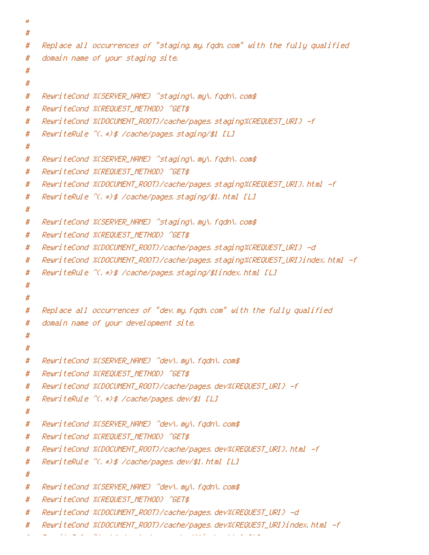```
#
# Replace all occurrences of "staging.my.fqdn.com" with the fully qualified
# domain name of your staging site.
#
#
# RewriteCond %{SERVER_NAME} ^staging\.my\.fqdn\.com$
# RewriteCond %{REQUEST_METHOD} ^GET$
# RewriteCond %{DOCUMENT_ROOT}/cache/pages.staging%{REQUEST_URI} -f
# RewriteRule ^(.*)$ /cache/pages.staging/$1 [L]
#
# RewriteCond %{SERVER_NAME} ^staging\.my\.fgdn\.com$
# RewriteCond %{REQUEST_METHOD} ^GET$
# RewriteCond %{DOCUMENT_ROOT}/cache/pages.staging%{REQUEST_URI}.html -f
# RewriteRule ^(.*)$ /cache/pages.staging/$1.html [L]
#
# RewriteCond %{SERVER_NAME} ^staging\.my\.fqdn\.com$
# RewriteCond %{REQUEST_METHOD} ^GET$
# RewriteCond %{DOCUMENT_ROOT}/cache/pages.staging%{REQUEST_URI} -d
# RewriteCond %{DOCUMENT_ROOT}/cache/pages.staging%{REQUEST_URI}index.html -f
# RewriteRule ^(.*)$ /cache/pages.staging/$1index.html [L]
#
#
# Replace all occurrences of "dev.my.fqdn.com" with the fully qualified
# domain name of your development site.
#
#
# RewriteCond %{SERVER_NAME} ^dev\.my\.fqdn\.com$
# RewriteCond %{REQUEST_METHOD} ^GET$
# RewriteCond %{DOCUMENT_ROOT}/cache/pages.dev%{REQUEST_URI} -f
# RewriteRule ^(.*)$ /cache/pages.dev/$1 [L]
#
# RewriteCond %{SERVER_NAME} ^dev\.my\.fqdn\.com$
# RewriteCond %{REQUEST_METHOD} ^GET$
# RewriteCond %{DOCUMENT_ROOT}/cache/pages.dev%{REQUEST_URI}.html -f
# RewriteRule ^(.*)$ /cache/pages.dev/$1.html [L]
#
# RewriteCond %{SERVER_NAME} ^dev\.my\.fqdn\.com$
# RewriteCond %{REQUEST_METHOD} ^GET$
# RewriteCond %{DOCUMENT_ROOT}/cache/pages.dev%{REQUEST_URI} -d
# RewriteCond %{DOCUMENT_ROOT}/cache/pages.dev%{REQUEST_URI}index.html -f
```
# RewriteRule ^(.\*)\$ /cache/pages.dev/\$1index.html [L]

#